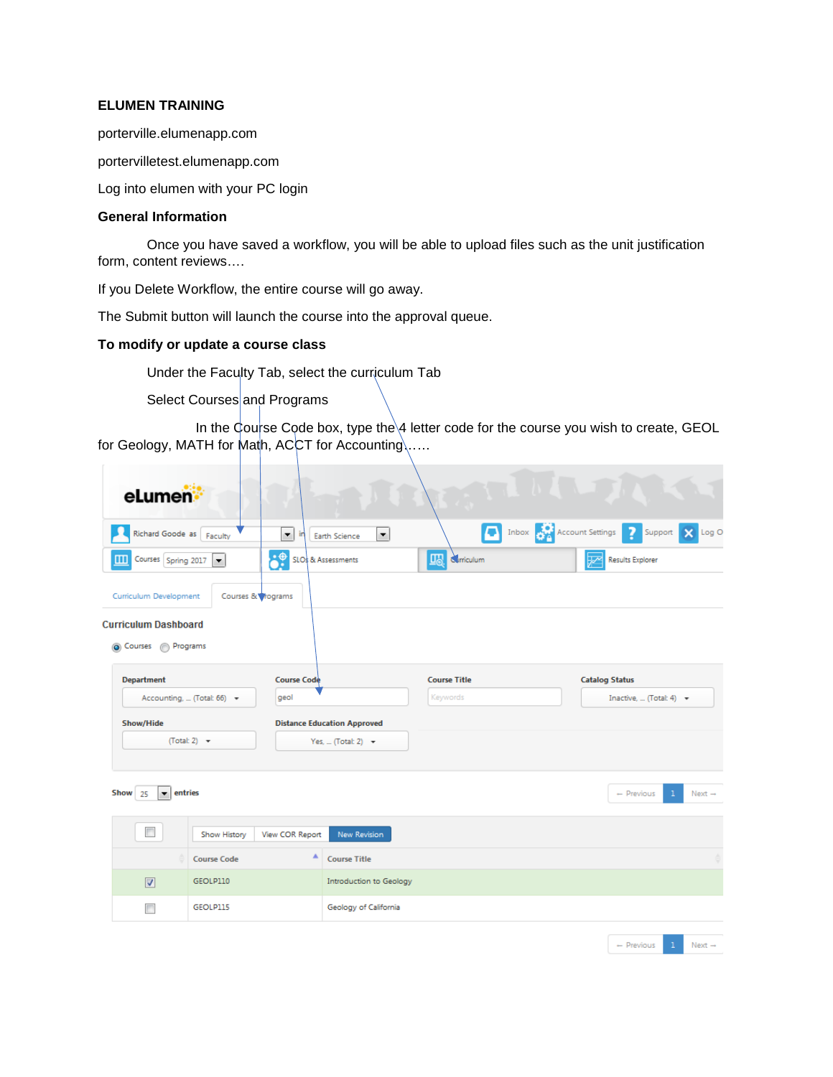### **ELUMEN TRAINING**

porterville.elumenapp.com

portervilletest.elumenapp.com

Log into elumen with your PC login

### **General Information**

Once you have saved a workflow, you will be able to upload files such as the unit justification form, content reviews….

If you Delete Workflow, the entire course will go away.

The Submit button will launch the course into the approval queue.

### **To modify or update a course class**

Under the Faculty Tab, select the curriculum Tab

Select Courses and Programs

In the Course Code box, type the  $4$  letter code for the course you wish to create, GEOL for Geology, MATH for Math, ACCT for Accounting.....

| eLumen:                                         |                          |                            |                                       |                      |                        |                       |                              |                                    |
|-------------------------------------------------|--------------------------|----------------------------|---------------------------------------|----------------------|------------------------|-----------------------|------------------------------|------------------------------------|
| Richard Goode as Faculty                        |                          | $\blacktriangledown$<br>in | $\blacktriangledown$<br>Earth Science |                      | Inbox Account Settings |                       | 7<br>Support                 | Log O<br>$\boldsymbol{\mathsf{x}}$ |
| Courses Spring 2017                             |                          | <b>SLO</b> & Assessments   |                                       | <b>LIA</b> Crriculum |                        | ₩                     | <b>Results Explorer</b>      |                                    |
| Curriculum Development                          | Courses & vograms        |                            |                                       |                      |                        |                       |                              |                                    |
| <b>Curriculum Dashboard</b><br>Courses Programs |                          |                            |                                       |                      |                        |                       |                              |                                    |
| <b>Department</b>                               |                          | <b>Course Code</b>         |                                       | <b>Course Title</b>  |                        | <b>Catalog Status</b> |                              |                                    |
| Accounting,  (Total: 66) -<br>geol              |                          |                            |                                       | Keywords             |                        |                       | Inactive,  (Total: 4) -      |                                    |
| <b>Show/Hide</b>                                |                          |                            | <b>Distance Education Approved</b>    |                      |                        |                       |                              |                                    |
|                                                 | (Total: 2) $\rightarrow$ |                            | Yes,  (Total: 2) $\rightarrow$        |                      |                        |                       |                              |                                    |
|                                                 |                          |                            |                                       |                      |                        |                       |                              |                                    |
| Show<br>entries<br>۰<br>25                      |                          |                            |                                       |                      |                        |                       | $\mathbf{1}$<br>$-$ Previous | Next $\rightarrow$                 |
|                                                 |                          |                            |                                       |                      |                        |                       |                              |                                    |
| $\Box$                                          | Show History             | View COR Report            | New Revision                          |                      |                        |                       |                              |                                    |
|                                                 | <b>Course Code</b>       | ٨                          | <b>Course Title</b>                   |                      |                        |                       |                              |                                    |
| $\triangledown$                                 | GEOLP110                 |                            | Introduction to Geology               |                      |                        |                       |                              |                                    |
| П                                               | GEOLP115                 |                            | Geology of California                 |                      |                        |                       |                              |                                    |
|                                                 |                          |                            |                                       |                      |                        |                       | $\mathbf{1}$                 |                                    |
|                                                 |                          |                            |                                       |                      |                        |                       | $-$ Previous                 | Next $\rightarrow$                 |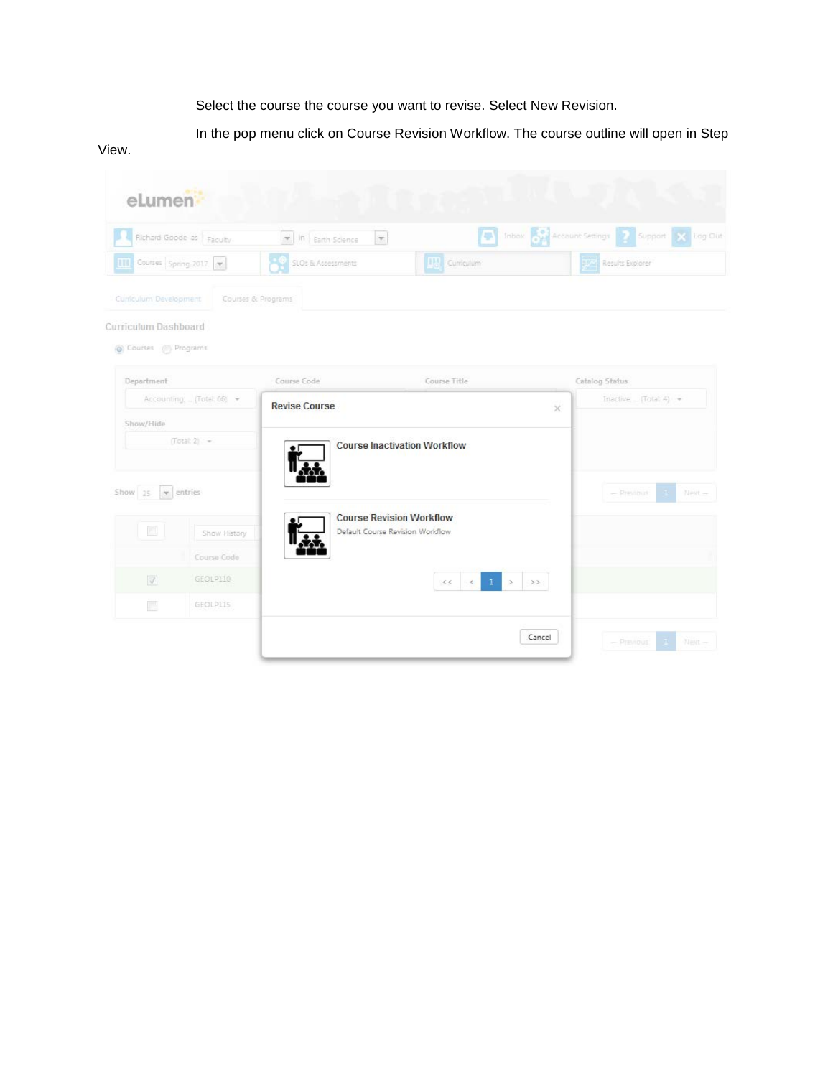Select the course the course you want to revise. Select New Revision.

In the pop menu click on Course Revision Workflow. The course outline will open in Step

### View.

| eLumen                                       |                                               |                                  |                                                                     |          |                                                |
|----------------------------------------------|-----------------------------------------------|----------------------------------|---------------------------------------------------------------------|----------|------------------------------------------------|
|                                              | Richard Goode as Faculty                      | In Earth Science<br>$\mathbf{v}$ |                                                                     |          | The Inbox Account Settings 2 Support X Log Out |
| <b>TTT</b> Courses Spring 2017               |                                               | SLOs & Assessments               | <b>H<sub>3</sub></b> Curriculum                                     |          | Results Explorer                               |
| Curriculum Development                       | Courses & Programs                            |                                  |                                                                     |          |                                                |
| Curriculum Dashboard<br>Courses (8) Programs |                                               |                                  |                                                                     |          |                                                |
| Department                                   |                                               | Course Code                      | Course Title                                                        |          | Catalog Status                                 |
| Accounting (Total. 66) -                     |                                               | <b>Revise Course</b>             |                                                                     | $\times$ | Inactive $\equiv$ (Total: 4) $\rightarrow$     |
| Show/Hide                                    |                                               |                                  |                                                                     |          |                                                |
| Show 35                                      | $(Total 2) =$<br>$\blacktriangledown$ entries |                                  | <b>Course Inactivation Workflow</b>                                 |          | $-$ Previous<br>Next-                          |
| 圆                                            | Show History                                  |                                  | <b>Course Revision Workflow</b><br>Default Course Revision Workflow |          |                                                |
|                                              | Course Code                                   |                                  |                                                                     |          |                                                |
| $\mathcal{I}$                                | GEOLPI10                                      |                                  | $\mathbf{I}$<br>$\ll$<br>$\!>$<br><<                                | >>       |                                                |
| H                                            | GEOLP115                                      |                                  |                                                                     |          |                                                |
|                                              |                                               |                                  |                                                                     | Cancel   | $-$ Previous<br>Next-<br>$\mathcal{H}^{\pm}$   |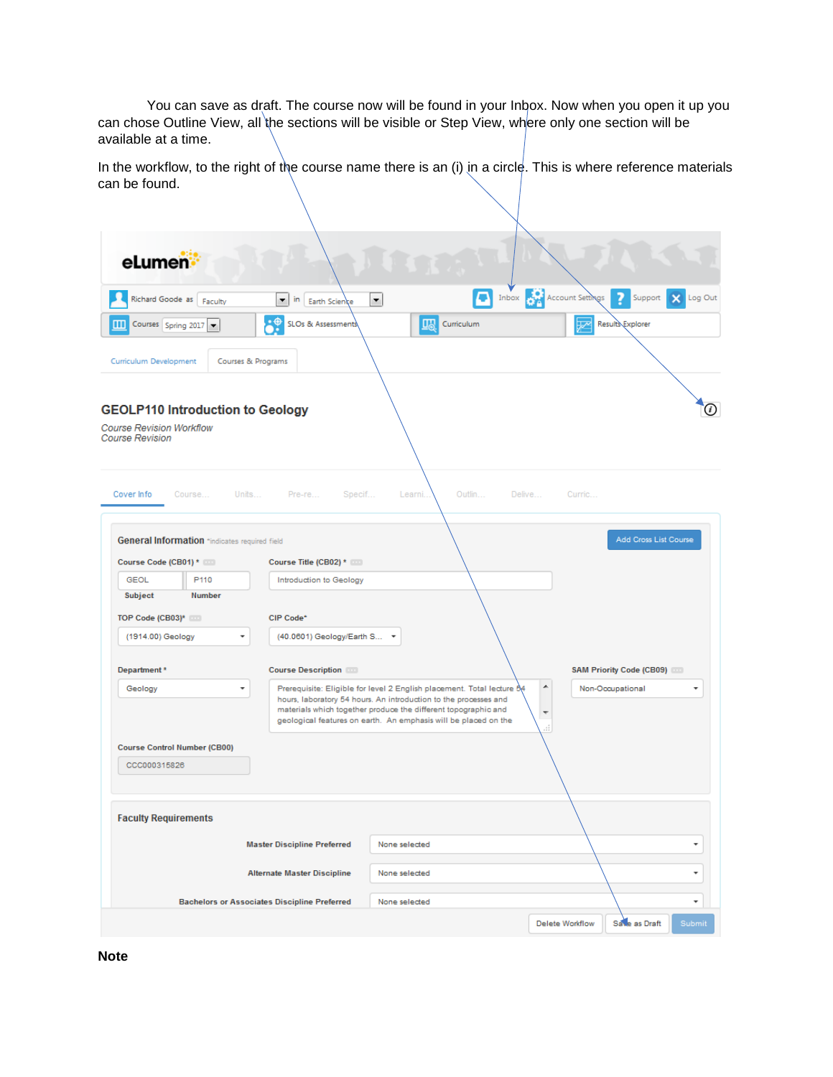You can save as draft. The course now will be found in your Inbox. Now when you open it up you can chose Outline View, all the sections will be visible or Step View, where only one section will be available at a time.

In the workflow, to the right of the course name there is an (i) in a circle. This is where reference materials can be found.

| eLumen:                                                   |                                                         |                                                     |                                                                                                                                                                                                                                                                                 |                                                                |
|-----------------------------------------------------------|---------------------------------------------------------|-----------------------------------------------------|---------------------------------------------------------------------------------------------------------------------------------------------------------------------------------------------------------------------------------------------------------------------------------|----------------------------------------------------------------|
|                                                           | Richard Goode as Faculty                                | ۰<br>in<br>Earth Science                            | $\blacktriangledown$                                                                                                                                                                                                                                                            | The Inbox Research Account Settings<br>7<br>Log Out<br>Support |
| ш                                                         | Courses Spring 2017 $\blacktriangledown$                | -°<br>SLOs & Assessments                            | UA<br>Curriculum                                                                                                                                                                                                                                                                | Results Explorer                                               |
| Curriculum Development                                    |                                                         | Courses & Programs                                  |                                                                                                                                                                                                                                                                                 |                                                                |
| <b>Course Revision Workflow</b><br><b>Course Revision</b> |                                                         | <b>GEOLP110 Introduction to Geology</b>             |                                                                                                                                                                                                                                                                                 | $\left( i\right)$                                              |
| Cover Info                                                | Course<br>General Information *indicates required field | Units Pre-re Specif                                 | Outlin<br>Learni                                                                                                                                                                                                                                                                | Delive<br>Curric<br>Add Cross List Course                      |
| Course Code (CB01) *                                      |                                                         | Course Title (CB02) *                               |                                                                                                                                                                                                                                                                                 |                                                                |
| <b>GEOL</b>                                               | P110                                                    | Introduction to Geology                             |                                                                                                                                                                                                                                                                                 |                                                                |
| Subject                                                   | <b>Number</b>                                           |                                                     |                                                                                                                                                                                                                                                                                 |                                                                |
| TOP Code (CB03)* 000                                      |                                                         | CIP Code*                                           |                                                                                                                                                                                                                                                                                 |                                                                |
| (1914.00) Geology                                         |                                                         | (40.0601) Geology/Earth S                           |                                                                                                                                                                                                                                                                                 |                                                                |
|                                                           |                                                         |                                                     |                                                                                                                                                                                                                                                                                 |                                                                |
| Department*                                               |                                                         | <b>Course Description</b>                           |                                                                                                                                                                                                                                                                                 | SAM Priority Code (CB09)                                       |
| Geology                                                   |                                                         | ۰                                                   | Prerequisite: Eligible for level 2 English placement. Total lecture 54<br>hours, laboratory 54 hours. An introduction to the processes and<br>materials which together produce the different topographic and<br>geological features on earth. An emphasis will be placed on the | ۸<br>Non-Occupational<br>۰<br>▼<br>лÎ,                         |
|                                                           | <b>Course Control Number (CB00)</b>                     |                                                     |                                                                                                                                                                                                                                                                                 |                                                                |
| CCC000315826                                              |                                                         |                                                     |                                                                                                                                                                                                                                                                                 |                                                                |
| <b>Faculty Requirements</b>                               |                                                         |                                                     |                                                                                                                                                                                                                                                                                 |                                                                |
|                                                           |                                                         | <b>Master Discipline Preferred</b>                  | None selected                                                                                                                                                                                                                                                                   |                                                                |
|                                                           |                                                         | <b>Alternate Master Discipline</b>                  | None selected                                                                                                                                                                                                                                                                   | ۰                                                              |
|                                                           |                                                         | <b>Bachelors or Associates Discipline Preferred</b> | None selected                                                                                                                                                                                                                                                                   | ۰                                                              |
|                                                           |                                                         |                                                     |                                                                                                                                                                                                                                                                                 | Submit<br><b>Delete Workflow</b><br>Save as Draft              |

**Note**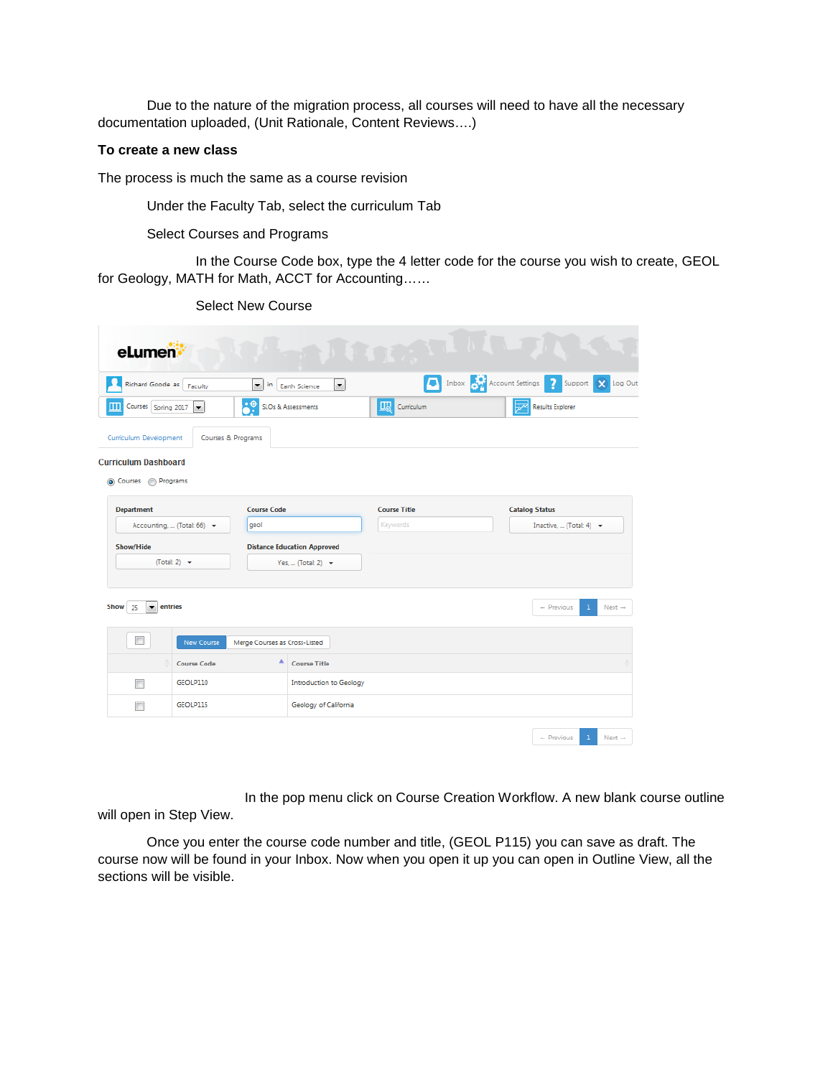Due to the nature of the migration process, all courses will need to have all the necessary documentation uploaded, (Unit Rationale, Content Reviews….)

### **To create a new class**

The process is much the same as a course revision

Under the Faculty Tab, select the curriculum Tab

Select Courses and Programs

In the Course Code box, type the 4 letter code for the course you wish to create, GEOL for Geology, MATH for Math, ACCT for Accounting……

| eLumen:                                                                                        |                                                                         |                       |                                                |
|------------------------------------------------------------------------------------------------|-------------------------------------------------------------------------|-----------------------|------------------------------------------------|
| Richard Goode as Faculty                                                                       | $\left  \cdot \right $<br>in<br>$\left  \cdot \right $<br>Earth Science |                       | The Inbox Account Settings 7 Support X Log Out |
| Courses Spring 2017<br>Ш<br>$\blacktriangledown$                                               | .÷<br>SLOs & Assessments                                                | <b>Lib</b> Curriculum | <b>Results Explorer</b>                        |
| Curriculum Development<br>Courses & Programs<br><b>Curriculum Dashboard</b><br>Courses negrams |                                                                         |                       |                                                |
| <b>Department</b>                                                                              | <b>Course Code</b>                                                      | <b>Course Title</b>   | <b>Catalog Status</b>                          |
| Accounting,  (Total: 66) -                                                                     | geol                                                                    | Keywords              | Inactive,  (Total: 4) $\rightarrow$            |
| <b>Show/Hide</b>                                                                               | <b>Distance Education Approved</b>                                      |                       |                                                |
| (Total: 2) $\rightarrow$                                                                       | Yes,  (Total: 2) $\rightarrow$                                          |                       |                                                |
| Show 25<br>$\blacktriangledown$ entries                                                        |                                                                         |                       | $-$ Previous<br>$Next \rightarrow$<br>1        |
| New Course                                                                                     | Merge Courses as Cross-Listed                                           |                       |                                                |
| <b>Course Code</b>                                                                             | ٨<br><b>Course Title</b>                                                |                       |                                                |
| GEOLP110<br>П                                                                                  | <b>Introduction to Geology</b>                                          |                       |                                                |
| GEOLP115<br>П                                                                                  | Geology of California                                                   |                       |                                                |
|                                                                                                |                                                                         |                       | $-$ Previous<br>1<br>Next $\rightarrow$        |

In the pop menu click on Course Creation Workflow. A new blank course outline will open in Step View.

Once you enter the course code number and title, (GEOL P115) you can save as draft. The course now will be found in your Inbox. Now when you open it up you can open in Outline View, all the sections will be visible.

Select New Course